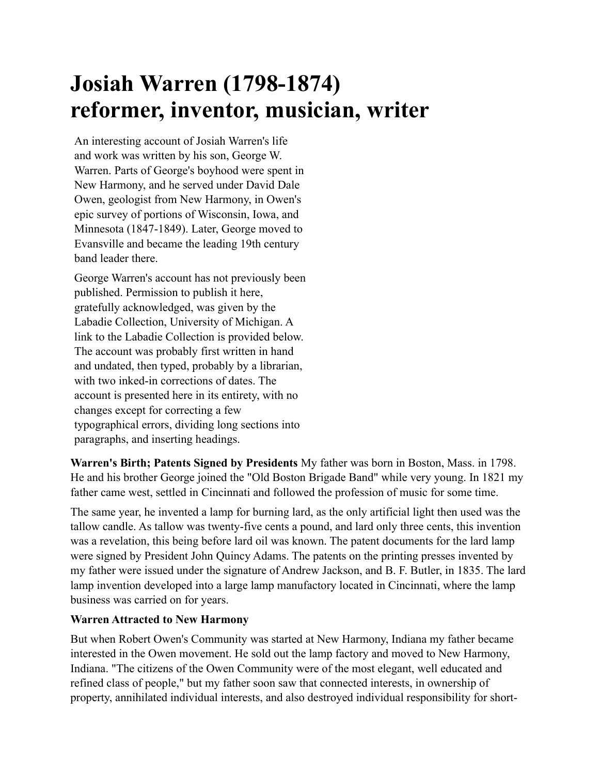# **Josiah Warren (1798-1874) reformer, inventor, musician, writer**

An interesting account of Josiah Warren's life and work was written by his son, George W. Warren. Parts of George's boyhood were spent in New Harmony, and he served under David Dale Owen, geologist from New Harmony, in Owen's epic survey of portions of Wisconsin, Iowa, and Minnesota (1847-1849). Later, George moved to Evansville and became the leading 19th century band leader there.

George Warren's account has not previously been published. Permission to publish it here, gratefully acknowledged, was given by the Labadie Collection, University of Michigan. A link to the Labadie Collection is provided below. The account was probably first written in hand and undated, then typed, probably by a librarian, with two inked-in corrections of dates. The account is presented here in its entirety, with no changes except for correcting a few typographical errors, dividing long sections into paragraphs, and inserting headings.

**Warren's Birth; Patents Signed by Presidents** My father was born in Boston, Mass. in 1798. He and his brother George joined the "Old Boston Brigade Band" while very young. In 1821 my father came west, settled in Cincinnati and followed the profession of music for some time.

The same year, he invented a lamp for burning lard, as the only artificial light then used was the tallow candle. As tallow was twenty-five cents a pound, and lard only three cents, this invention was a revelation, this being before lard oil was known. The patent documents for the lard lamp were signed by President John Quincy Adams. The patents on the printing presses invented by my father were issued under the signature of Andrew Jackson, and B. F. Butler, in 1835. The lard lamp invention developed into a large lamp manufactory located in Cincinnati, where the lamp business was carried on for years.

# **Warren Attracted to New Harmony**

But when Robert Owen's Community was started at New Harmony, Indiana my father became interested in the Owen movement. He sold out the lamp factory and moved to New Harmony, Indiana. "The citizens of the Owen Community were of the most elegant, well educated and refined class of people," but my father soon saw that connected interests, in ownership of property, annihilated individual interests, and also destroyed individual responsibility for short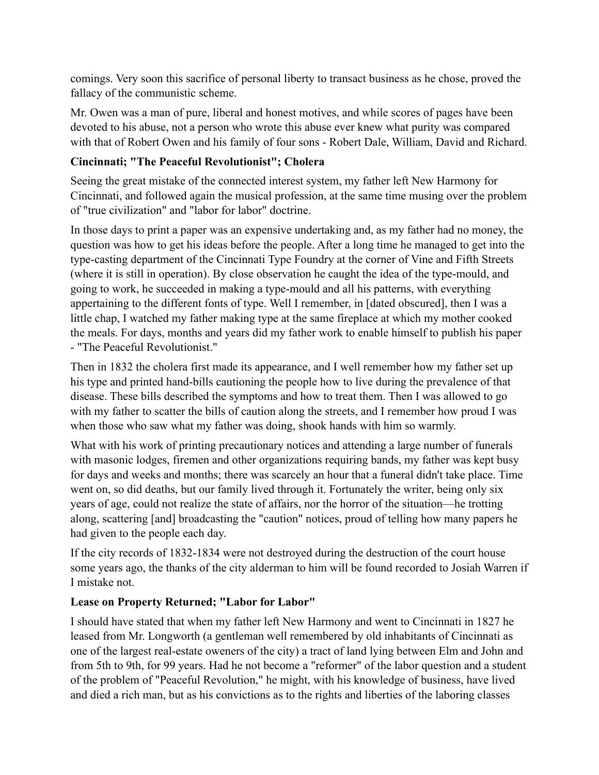comings. Very soon this sacrifice of personal liberty to transact business as he chose, proved the fallacy of the communistic scheme.

Mr. Owen was a man of pure, liberal and honest motives, and while scores of pages have been devoted to his abuse, not a person who wrote this abuse ever knew what purity was compared with that of Robert Owen and his family of four sons - Robert Dale, William, David and Richard.

## **Cincinnati; "The Peaceful Revolutionist"; Cholera**

Seeing the great mistake of the connected interest system, my father left New Harmony for Cincinnati, and followed again the musical profession, at the same time musing over the problem of "true civilization" and "labor for labor" doctrine.

In those days to print a paper was an expensive undertaking and, as my father had no money, the question was how to get his ideas before the people. After a long time he managed to get into the type-casting department of the Cincinnati Type Foundry at the corner of Vine and Fifth Streets (where it is still in operation). By close observation he caught the idea of the type-mould, and going to work, he succeeded in making a type-mould and all his patterns, with everything appertaining to the different fonts of type. Well I remember, in [dated obscured], then I was a little chap, I watched my father making type at the same fireplace at which my mother cooked the meals. For days, months and years did my father work to enable himself to publish his paper - "The Peaceful Revolutionist."

Then in 1832 the cholera first made its appearance, and I well remember how my father set up his type and printed hand-bills cautioning the people how to live during the prevalence of that disease. These bills described the symptoms and how to treat them. Then I was allowed to go with my father to scatter the bills of caution along the streets, and I remember how proud I was when those who saw what my father was doing, shook hands with him so warmly.

What with his work of printing precautionary notices and attending a large number of funerals with masonic lodges, firemen and other organizations requiring bands, my father was kept busy for days and weeks and months; there was scarcely an hour that a funeral didn't take place. Time went on, so did deaths, but our family lived through it. Fortunately the writer, being only six years of age, could not realize the state of affairs, nor the horror of the situation—he trotting along, scattering [and] broadcasting the "caution" notices, proud of telling how many papers he had given to the people each day.

If the city records of 1832-1834 were not destroyed during the destruction of the court house some years ago, the thanks of the city alderman to him will be found recorded to Josiah Warren if I mistake not.

#### **Lease on Property Returned; "Labor for Labor"**

I should have stated that when my father left New Harmony and went to Cincinnati in 1827 he leased from Mr. Longworth (a gentleman well remembered by old inhabitants of Cincinnati as one of the largest real-estate oweners of the city) a tract of land lying between Elm and John and from 5th to 9th, for 99 years. Had he not become a "reformer" of the labor question and a student of the problem of "Peaceful Revolution," he might, with his knowledge of business, have lived and died a rich man, but as his convictions as to the rights and liberties of the laboring classes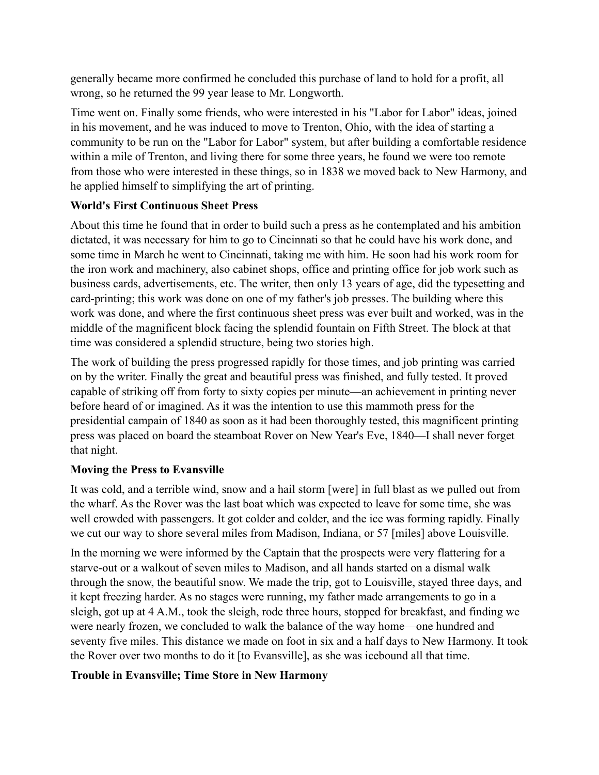generally became more confirmed he concluded this purchase of land to hold for a profit, all wrong, so he returned the 99 year lease to Mr. Longworth.

Time went on. Finally some friends, who were interested in his "Labor for Labor" ideas, joined in his movement, and he was induced to move to Trenton, Ohio, with the idea of starting a community to be run on the "Labor for Labor" system, but after building a comfortable residence within a mile of Trenton, and living there for some three years, he found we were too remote from those who were interested in these things, so in 1838 we moved back to New Harmony, and he applied himself to simplifying the art of printing.

### **World's First Continuous Sheet Press**

About this time he found that in order to build such a press as he contemplated and his ambition dictated, it was necessary for him to go to Cincinnati so that he could have his work done, and some time in March he went to Cincinnati, taking me with him. He soon had his work room for the iron work and machinery, also cabinet shops, office and printing office for job work such as business cards, advertisements, etc. The writer, then only 13 years of age, did the typesetting and card-printing; this work was done on one of my father's job presses. The building where this work was done, and where the first continuous sheet press was ever built and worked, was in the middle of the magnificent block facing the splendid fountain on Fifth Street. The block at that time was considered a splendid structure, being two stories high.

The work of building the press progressed rapidly for those times, and job printing was carried on by the writer. Finally the great and beautiful press was finished, and fully tested. It proved capable of striking off from forty to sixty copies per minute—an achievement in printing never before heard of or imagined. As it was the intention to use this mammoth press for the presidential campain of 1840 as soon as it had been thoroughly tested, this magnificent printing press was placed on board the steamboat Rover on New Year's Eve, 1840—I shall never forget that night.

# **Moving the Press to Evansville**

It was cold, and a terrible wind, snow and a hail storm [were] in full blast as we pulled out from the wharf. As the Rover was the last boat which was expected to leave for some time, she was well crowded with passengers. It got colder and colder, and the ice was forming rapidly. Finally we cut our way to shore several miles from Madison, Indiana, or 57 [miles] above Louisville.

In the morning we were informed by the Captain that the prospects were very flattering for a starve-out or a walkout of seven miles to Madison, and all hands started on a dismal walk through the snow, the beautiful snow. We made the trip, got to Louisville, stayed three days, and it kept freezing harder. As no stages were running, my father made arrangements to go in a sleigh, got up at 4 A.M., took the sleigh, rode three hours, stopped for breakfast, and finding we were nearly frozen, we concluded to walk the balance of the way home—one hundred and seventy five miles. This distance we made on foot in six and a half days to New Harmony. It took the Rover over two months to do it [to Evansville], as she was icebound all that time.

# **Trouble in Evansville; Time Store in New Harmony**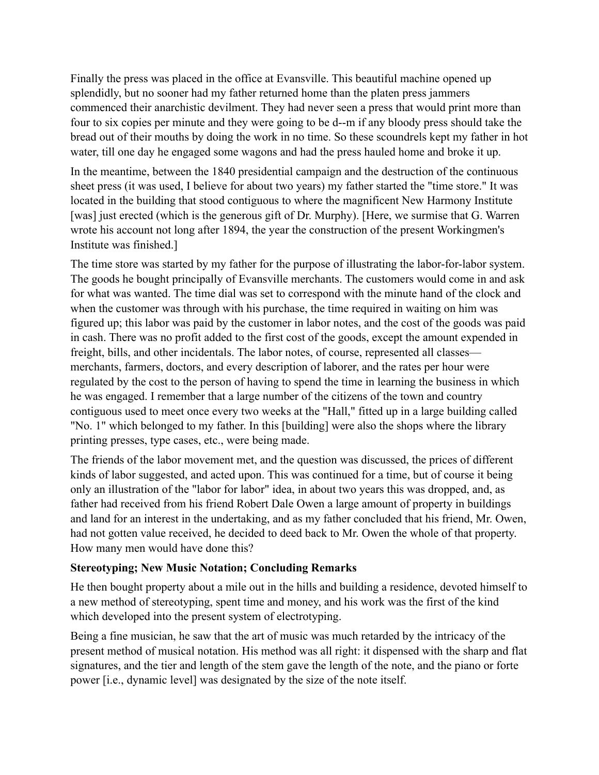Finally the press was placed in the office at Evansville. This beautiful machine opened up splendidly, but no sooner had my father returned home than the platen press jammers commenced their anarchistic devilment. They had never seen a press that would print more than four to six copies per minute and they were going to be d--m if any bloody press should take the bread out of their mouths by doing the work in no time. So these scoundrels kept my father in hot water, till one day he engaged some wagons and had the press hauled home and broke it up.

In the meantime, between the 1840 presidential campaign and the destruction of the continuous sheet press (it was used, I believe for about two years) my father started the "time store." It was located in the building that stood contiguous to where the magnificent New Harmony Institute [was] just erected (which is the generous gift of Dr. Murphy). [Here, we surmise that G. Warren wrote his account not long after 1894, the year the construction of the present Workingmen's Institute was finished.]

The time store was started by my father for the purpose of illustrating the labor-for-labor system. The goods he bought principally of Evansville merchants. The customers would come in and ask for what was wanted. The time dial was set to correspond with the minute hand of the clock and when the customer was through with his purchase, the time required in waiting on him was figured up; this labor was paid by the customer in labor notes, and the cost of the goods was paid in cash. There was no profit added to the first cost of the goods, except the amount expended in freight, bills, and other incidentals. The labor notes, of course, represented all classes merchants, farmers, doctors, and every description of laborer, and the rates per hour were regulated by the cost to the person of having to spend the time in learning the business in which he was engaged. I remember that a large number of the citizens of the town and country contiguous used to meet once every two weeks at the "Hall," fitted up in a large building called "No. 1" which belonged to my father. In this [building] were also the shops where the library printing presses, type cases, etc., were being made.

The friends of the labor movement met, and the question was discussed, the prices of different kinds of labor suggested, and acted upon. This was continued for a time, but of course it being only an illustration of the "labor for labor" idea, in about two years this was dropped, and, as father had received from his friend Robert Dale Owen a large amount of property in buildings and land for an interest in the undertaking, and as my father concluded that his friend, Mr. Owen, had not gotten value received, he decided to deed back to Mr. Owen the whole of that property. How many men would have done this?

#### **Stereotyping; New Music Notation; Concluding Remarks**

He then bought property about a mile out in the hills and building a residence, devoted himself to a new method of stereotyping, spent time and money, and his work was the first of the kind which developed into the present system of electrotyping.

Being a fine musician, he saw that the art of music was much retarded by the intricacy of the present method of musical notation. His method was all right: it dispensed with the sharp and flat signatures, and the tier and length of the stem gave the length of the note, and the piano or forte power [i.e., dynamic level] was designated by the size of the note itself.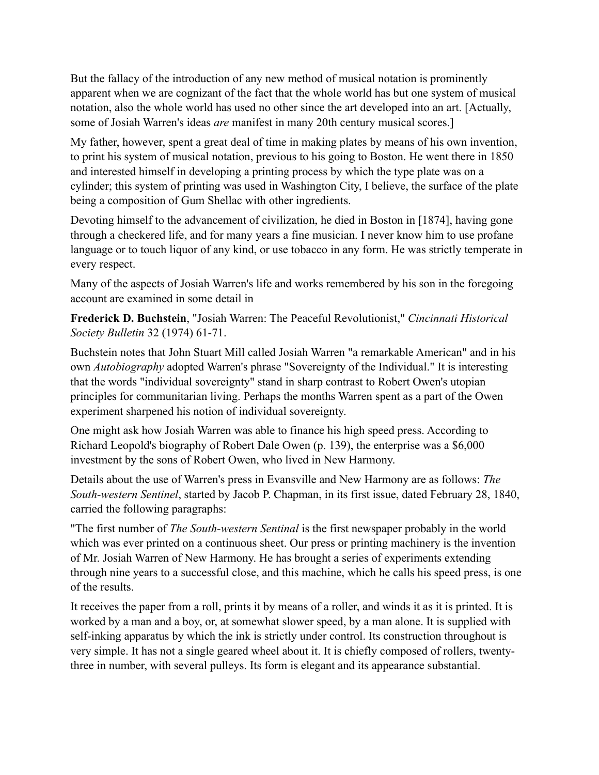But the fallacy of the introduction of any new method of musical notation is prominently apparent when we are cognizant of the fact that the whole world has but one system of musical notation, also the whole world has used no other since the art developed into an art. [Actually, some of Josiah Warren's ideas *are* manifest in many 20th century musical scores.]

My father, however, spent a great deal of time in making plates by means of his own invention, to print his system of musical notation, previous to his going to Boston. He went there in 1850 and interested himself in developing a printing process by which the type plate was on a cylinder; this system of printing was used in Washington City, I believe, the surface of the plate being a composition of Gum Shellac with other ingredients.

Devoting himself to the advancement of civilization, he died in Boston in [1874], having gone through a checkered life, and for many years a fine musician. I never know him to use profane language or to touch liquor of any kind, or use tobacco in any form. He was strictly temperate in every respect.

Many of the aspects of Josiah Warren's life and works remembered by his son in the foregoing account are examined in some detail in

**Frederick D. Buchstein**, "Josiah Warren: The Peaceful Revolutionist," *Cincinnati Historical Society Bulletin* 32 (1974) 61-71.

Buchstein notes that John Stuart Mill called Josiah Warren "a remarkable American" and in his own *Autobiography* adopted Warren's phrase "Sovereignty of the Individual." It is interesting that the words "individual sovereignty" stand in sharp contrast to Robert Owen's utopian principles for communitarian living. Perhaps the months Warren spent as a part of the Owen experiment sharpened his notion of individual sovereignty.

One might ask how Josiah Warren was able to finance his high speed press. According to Richard Leopold's biography of Robert Dale Owen (p. 139), the enterprise was a \$6,000 investment by the sons of Robert Owen, who lived in New Harmony.

Details about the use of Warren's press in Evansville and New Harmony are as follows: *The South-western Sentinel*, started by Jacob P. Chapman, in its first issue, dated February 28, 1840, carried the following paragraphs:

"The first number of *The South-western Sentinal* is the first newspaper probably in the world which was ever printed on a continuous sheet. Our press or printing machinery is the invention of Mr. Josiah Warren of New Harmony. He has brought a series of experiments extending through nine years to a successful close, and this machine, which he calls his speed press, is one of the results.

It receives the paper from a roll, prints it by means of a roller, and winds it as it is printed. It is worked by a man and a boy, or, at somewhat slower speed, by a man alone. It is supplied with self-inking apparatus by which the ink is strictly under control. Its construction throughout is very simple. It has not a single geared wheel about it. It is chiefly composed of rollers, twentythree in number, with several pulleys. Its form is elegant and its appearance substantial.